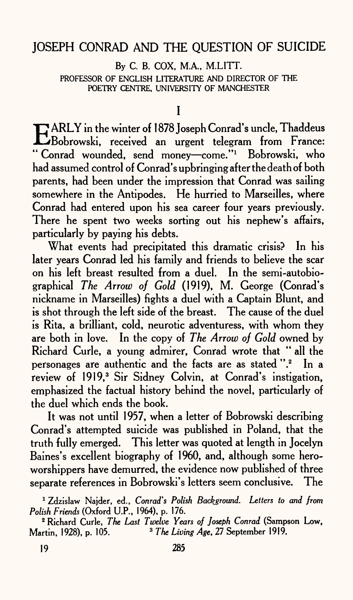By C. B. COX, M.A., M.LITT. PROFESSOR OF ENGLISH LITERATURE AND DIRECTOR OF THE POETRY CENTRE, UNIVERSITY OF MANCHESTER

I

EARLY in the winter of 1878 Joseph Conrad's uncle, Thaddeus<br>EBobrowski, received an urgent telegram from France: ARLY in the winter of 1878 Joseph Conrad's uncle, Thaddeus " Conrad wounded, send money-come."<sup>1</sup> Bobrowski, who had assumed control of Conrad's upbringing after the death of both parents, had been under the impression that Conrad was sailing somewhere in the Antipodes. He hurried to Marseilles, where Conrad had entered upon his sea career four years previously. There he spent two weeks sorting out his nephew's affairs, particularly by paying his debts.

What events had precipitated this dramatic crisis? In his later years Conrad led his family and friends to believe the scar on his left breast resulted from a duel. In the semi-autobiographical *The Arrow of Gold* (1919), M. George (Conrad's nickname in Marseilles) fights a duel with a Captain Blunt, and is shot through the left side of the breast. The cause of the duel is Rita, a brilliant, cold, neurotic adventuress, with whom they are both in love. In the copy of *The Arrow of Gold* owned by Richard Curie, a young admirer, Conrad wrote that " all the personages are authentic and the facts are as stated ".2 In <sup>a</sup> review of 1919,<sup>3</sup> Sir Sidney Colvin, at Conrad's instigation. emphasized the factual history behind the novel, particularly of the duel which ends the book.

It was not until 1957, when a letter of Bobrowski describing Conrad's attempted suicide was published in Poland, that the truth fully emerged. This letter was quoted at length in Jocelyn Baines's excellent biography of 1960, and, although some heroworshippers have demurred, the evidence now published of three separate references in Bobrowski's letters seem conclusive. The

1 Zdzislaw Najder, ed., *Conrad's Polish Background. Letters to and from Polish Friends* (Oxford U.P., 1964), p. 176.

2 Richard Curie, *The Last Twelve Years of Joseph Conrad* (Sampson Low, Martin, 1928), p. 105. 3 *The Living Age, 27* September 1919.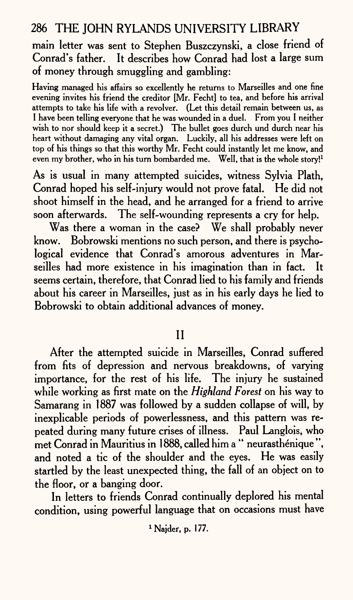main letter was sent to Stephen Buszczynski, a close friend of Conrad's father. It describes how Conrad had lost a large sum of money through smuggling and gambling:

Having managed his affairs so excellently he returns to Marseilles and one fine evening invites his friend the creditor [Mr. Fecht] to tea, and before his arrival attempts to take his life with a revolver. (Let this detail remain between us, as I have been telling everyone that he was wounded in a duel. From you I neither wish to nor should keep it a secret.) The bullet goes durch und durch near his heart without damaging any vital organ. Luckily, all his addresses were left on top of his things so that this worthy Mr. Fecht could instantly let me know, and even my brother, who in his turn bombarded me. Well, that is the whole story!<sup>1</sup>

As is usual in many attempted suicides, witness Sylvia Plath, Conrad hoped his self-injury would not prove fatal. He did not shoot himself in the head, and he arranged for a friend to arrive soon afterwards. The self-wounding represents a cry for help.

Was there a woman in the case? We shall probably never know. Bobrowski mentions no such person, and there is psychological evidence that Conrad's amorous adventures in Marseilles had more existence in his imagination than in fact. It seems certain, therefore, that Conrad lied to his family and friends about his career in Marseilles, just as in his early days he lied to Bobrowski to obtain additional advances of money.

#### II

After the attempted suicide in Marseilles, Conrad suffered from fits of depression and nervous breakdowns, of varying importance, for the rest of his life. The injury he sustained while working as first mate on the *Highland Forest* on his way to Samarang in 1887 was followed by a sudden collapse of will, by inexplicable periods of powerlessness, and this pattern was repeated during many future crises of illness. Paul Langlois, who met Conrad in Mauritius in 1888, called him a " neurasthénique", and noted a tic of the shoulder and the eyes. He was easily startled by the least unexpected thing, the fall of an object on to the floor, or a banging door.

In letters to friends Conrad continually deplored his mental condition, using powerful language that on occasions must have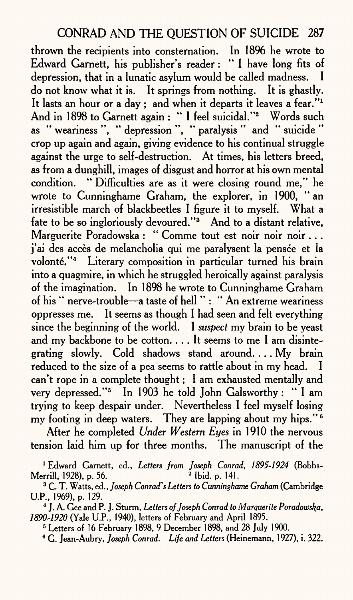thrown the recipients into consternation. In 1896 he wrote to Edward Garnett, his publisher's reader: "I have long fits of depression, that in a lunatic asylum would be called madness. I do not know what it is. It springs from nothing. It is ghastly. It lasts an hour or a day : and when it departs it leaves a fear."<sup>1</sup> And in 1898 to Garnett again : " I feel suicidal."<sup>2</sup> Words such If  $\frac{1}{1000}$  to Califort again: Their streams. We say sach as "weariness", "depression", "paralysis" and "suicide crop up again and again, giving evidence to his continual struggle against the urge to self-destruction. At times, his letters breed, as from a dunghill, images of disgust and horror at his own mental condition. "Difficulties are as it were closing round me," he wrote to Cunninghame Graham, the explorer, in 1900, "an irresistible march of blackbeetles I figure it to myself. What a fate to be so ingloriously devoured."<sup>3</sup> And to a distant relative, Marguerite Poradowska : " Comme tout est noir noir noir ... j'ai des accès de melancholia qui me paralysent la pensée et la volonté."<sup>4</sup> Literary composition in particular turned his brain into a quagmire, in which he struggled heroically against paralysis of the imagination. In 1898 he wrote to Cunninghame Graham of his " nerve-trouble—a taste of hell " : " An extreme weariness oppresses me. It seems as though I had seen and felt everything since the beginning of the world. I *suspect* my brain to be yeast and my backbone to be cotton. ... It seems to me I am disintegrating slowly. Cold shadows stand around. . . . My brain reduced to the size of a pea seems to rattle about in my head. I can't rope in a complete thought; I am exhausted mentally and very depressed."5 In 1903 he told John Galsworthy: " I am trying to keep despair under. Nevertheless I feel myself losing my footing in deep waters. They are lapping about my hips."<sup>6</sup>

After he completed *Under Western Eyes* in 1910 the nervous tension laid him up for three months. The manuscript of the

<sup>1</sup> Edward Garnett, ed., *Letters from Joseph Conrad*, 1895-1924 (Bobbs-<br>errill, 1928), p. 56. Merrill, 1928), p. 56.

3 C. T. Watts, *ed., Joseph Conrad's Letters to Cunninghame Graham* (Cambridge U.P., 1969), p. 129.

4 J. A. Gee and P. J. Sturm, *Letters of Joseph Conrad to Marguerite Poradowska, 1890-1920* (Yale U.P., 1940), letters of February and April 1895.

5 Letters of 16 February 1898, 9 December 1898, and 28 July 1900.

6 G. Jean-Aubry, *Joseph Conrad. Life and Letters* (Heinemann, 1927), i. 322.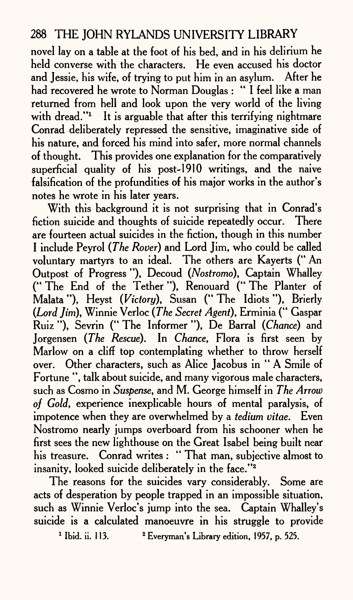novel lay on <sup>a</sup>table at the foot of his bed, and in his delirium he held converse with the characters. He even accused his doctor and Jessie, his wife, of trying to put him in an asylum. After he had recovered he wrote to Norman Douglas : " I feel like a man returned from hell and look upon the very world of the living with dread." $1$  It is arguable that after this terrifying nightmare Conrad deliberately repressed the sensitive, imaginative side of his nature, and forced his mind into safer, more normal channels of thought. This provides one explanation for the comparatively superficial quality of his post-1910 writings, and the naive falsification of the profundities of his major works in the author's notes he wrote in his later years.

With this background it is not surprising that in Conrad's fiction suicide and thoughts of suicide repeatedly occur. There are fourteen actual suicides in the fiction, though in this number I include Peyrol *(The Rover)* and Lord Jim, who could be called voluntary martyrs to an ideal. The others are Kayerts (" An Outpost of Progress "), Decoud *(Nostromo),* Captain Whalley ("The End of the Tether"), Renouard ("The Planter of Malata"), Heyst *(Victory),* Susan (" The Idiots"), Brierly *(Lord Jim),* Winnie Verloc *(The Secret Agent),* Erminia (" Caspar Ruiz "), Sevrin (" The Informer "), De Barral *(Chance)* and Jorgensen *(The Rescue).* In *Chance,* Flora is first seen by Marlow on a cliff top contemplating whether to throw herself over. Other characters, such as Alice Jacobus in " A Smile of Fortune ", talk about suicide, and many vigorous male characters, such as Cosmo in *Suspense,* and M. George himself in *The Arrow of Gold,* experience inexplicable hours of mental paralysis, of impotence when they are overwhelmed by a *tedium vitae.* Even Nostromo nearly jumps overboard from his schooner when he first sees the new lighthouse on the Great Isabel being built near his treasure. Conrad writes : " That man, subjective almost to insanity, looked suicide deliberately in the face."<sup>2</sup>

The reasons for the suicides vary considerably. Some are acts of desperation by people trapped in an impossible situation, such as Winnie Verloc's jump into the sea. Captain Whalley's suicide is a calculated manoeuvre in his struggle to provide

<sup>1</sup> Ibid. ii. 113. <sup>2</sup> Everyman's Library edition, 1957, p. 525.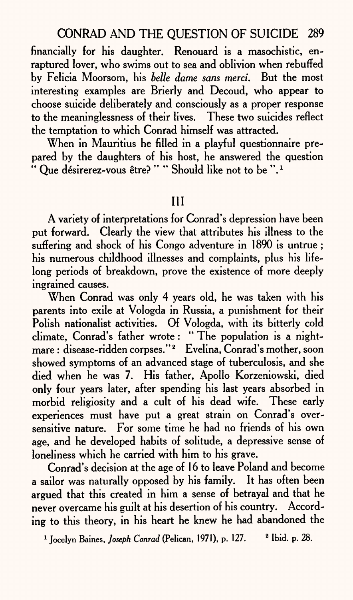financially for his daughter. Renouard is a masochistic, enraptured lover, who swims out to sea and oblivion when rebuffed by Felicia Moorsom, his *belle dame sans merci.* But the most interesting examples are Brierly and Decoud, who appear to choose suicide deliberately and consciously as a proper response to the meaninglessness of their lives. These two suicides reflect the temptation to which Conrad himself was attracted.

When in Mauritius he filled in a playful questionnaire prepared by the daughters of his host, he answered the question " Que désirerez-vous être? " " Should like not to be ".<sup>1</sup>

#### III

A variety of interpretations for Conrad's depression have been put forward. Clearly the view that attributes his illness to the suffering and shock of his Congo adventure in 1890 is untrue; his numerous childhood illnesses and complaints, plus his lifelong periods of breakdown, prove the existence of more deeply ingrained causes.

When Conrad was only 4 years old, he was taken with his parents into exile at Vologda in Russia, a punishment for their Polish nationalist activities. Of Vologda, with its bitterly cold climate, Conrad's father wrote: " The population is a nightmare : disease-ridden corpses."<sup>2</sup> Evelina, Conrad's mother, soon showed symptoms of an advanced stage of tuberculosis, and she died when he was 7. His father, Apollo Korzeniowski, died only four years later, after spending his last years absorbed in morbid religiosity and a cult of his dead wife. These early experiences must have put a great strain on Conrad's oversensitive nature. For some time he had no friends of his own age, and he developed habits of solitude, a depressive sense of loneliness which he carried with him to his grave.

Conrad's decision at the age of 16 to leave Poland and become a sailor was naturally opposed by his family. It has often been argued that this created in him a sense of betrayal and that he never overcame his guilt at his desertion of his country. According to this theory, in his heart he knew he had abandoned the

<sup>1</sup> Jocelyn Baines, *Joseph Conrad* (Pelican, 1971), p. 127. <sup>2</sup> Ibid. p. 28.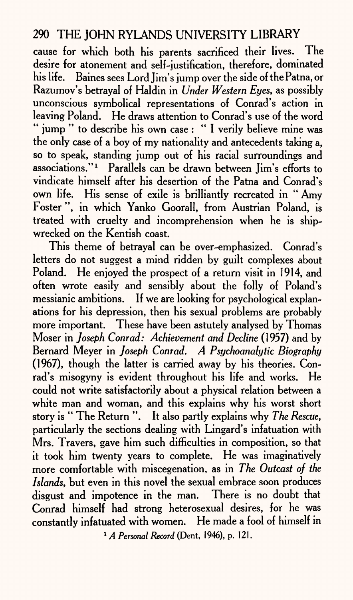cause for which both his parents sacrificed their lives. The desire for atonement and self-justification, therefore, dominated his life. Baines sees Lord Iim's jump over the side of the Patna, or Razumov's betrayal of Haldin in *Under Western Eyes,* as possibly unconscious symbolical representations of Conrad's action in leaving Poland. He draws attention to Conrad's use of the word \*' jump " to describe his own case : "I verily believe mine was the only case of a boy of my nationality and antecedents taking a, so to speak, standing jump out of his racial surroundings and associations." 1 Parallels can be drawn between Jim's efforts to vindicate himself after his desertion of the Patna and Conrad's own life. His sense of exile is brilliantly recreated in " Amy Foster ", in which Yanko Goorall, from Austrian Poland, is treated with cruelty and incomprehension when he is shipwrecked on the Kentish coast.

This theme of betrayal can be over-emphasized. Conrad's letters do not suggest a mind ridden by guilt complexes about Poland. He enjoyed the prospect of a return visit in 1914, and often wrote easily and sensibly about the folly of Poland's messianic ambitions. If we are looking for psychological explanations for his depression, then his sexual problems are probably more important. These have been astutely analysed by Thomas Moser in *Joseph Conrad: Achievement and Decline* (1957) and by Bernard Meyer in *Joseph Conrad. A Psychoanalytic Biography*  (1967), though the latter is carried away by his theories. Conrad's misogyny is evident throughout his life and works. He could not write satisfactorily about a physical relation between a white man and woman, and this explains why his worst short story is " The Return ". It also partly explains why *The Rescue,*  particularly the sections dealing with Lingard's infatuation with Mrs. Travers, gave him such difficulties in composition, so that it took him twenty years to complete. He was imaginatively more comfortable with miscegenation, as in *The Outcast of the Islands,* but even in this novel the sexual embrace soon produces disgust and impotence in the man. There is no doubt that Conrad himself had strong heterosexual desires, for he was constantly infatuated with women. He made a fool of himself in

1 *A Personal Record* (Dent, 1946), p. 121.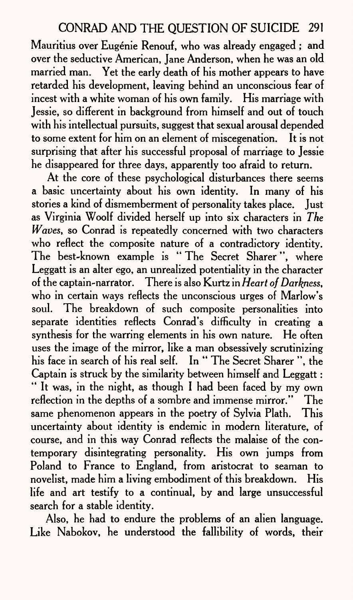Mauritius over Eugénie Renouf, who was already engaged; and over the seductive American, Jane Anderson, when he was an old married man. Yet the early death of his mother appears to have retarded his development, leaving behind an unconscious fear of incest with a white woman of his own family. His marriage with Jessie, so different in background from himself and out of touch with his intellectual pursuits, suggest that sexual arousal depended to some extent for him on an element of miscegenation. It is not surprising that after his successful proposal of marriage to Jessie he disappeared for three days, apparently too afraid to return.

At the core of these psychological disturbances there seems a basic uncertainty about his own identity. In many of his stories a kind of dismemberment of personality takes place. Just as Virginia Woolf divided herself up into six characters in *The Waves,* so Conrad is repeatedly concerned with two characters who reflect the composite nature of a contradictory identity. The best-known example is "The Secret Sharer", where Leggatt is an alter ego, an unrealized potentiality in the character of the captain-narrator. There is also Kurtz in *Heart of Darkness,*  who in certain ways reflects the unconscious urges of Marlow's soul. The breakdown of such composite personalities into separate identities reflects Conrad's difficulty in creating <sup>a</sup> synthesis for the warring elements in his own nature. He often uses the image of the mirror, like a man obsessively scrutinizing his face in search of his real self. In " The Secret Sharer ", the Captain is struck by the similarity between himself and Leggatt: " It was, in the night, as though I had been faced by my own reflection in the depths of a sombre and immense mirror." The same phenomenon appears in the poetry of Sylvia Plath. This uncertainty about identity is endemic in modern literature, of course, and in this way Conrad reflects the malaise of the contemporary disintegrating personality. His own jumps from Poland to France to England, from aristocrat to seaman to novelist, made him a living embodiment of this breakdown. His life and art testify to a continual, by and large unsuccessful search for a stable identity.

Also, he had to endure the problems of an alien language. Like Nabokov, he understood the fallibility of words, their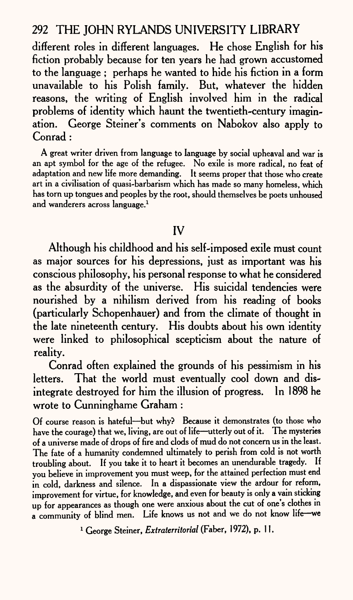different roles in different languages. He chose English for his fiction probably because for ten years he had grown accustomed to the language ; perhaps he wanted to hide his fiction in a form unavailable to his Polish family. But, whatever the hidden reasons, the writing of English involved him in the radical problems of identity which haunt the twentieth-century imagination. George Steiner's comments on Nabokov also apply to Conrad :

A great writer driven from language to language by social upheaval and war is an apt symbol for the age of the refugee. No exile is more radical, no feat of adaptation and new life more demanding. It seems proper that those who create art in a civilisation of quasi-barbarism which has made so many homeless, which has torn up tongues and peoples by the root, should themselves be poets unhoused and wanderers across language.<sup>1</sup>

#### IV

Although his childhood and his self-imposed exile must count as major sources for his depressions, just as important was his conscious philosophy, his personal response to what he considered as the absurdity of the universe. His suicidal tendencies were nourished by a nihilism derived from his reading of books (particularly Schopenhauer) and from the climate of thought in the late nineteenth century. His doubts about his own identity were linked to philosophical scepticism about the nature of reality.

Conrad often explained the grounds of his pessimism in his letters. That the world must eventually cool down and disintegrate destroyed for him the illusion of progress. In 1898 he wrote to Cunninghame Graham :

Of course reason is hateful—but why? Because it demonstrates (to those who have the courage) that we, living, are out of life—utterly out of it. The mysteries of a universe made of drops of fire and clods of mud do not concern us in the least. The fate of a humanity condemned ultimately to perish from cold is not worth troubling about. If you take it to heart it becomes an unendurable tragedy. If you believe in improvement you must weep, for the attained perfection must end in cold, darkness and silence. In a dispassionate view the ardour for reform, improvement for virtue, for knowledge, and even for beauty is only a vain sticking up for appearances as though one were anxious about the cut of one's clothes in a community of blind men. Life knows us not and we do not know life-we

1 George Steiner, *Extraterritorial* (Faber, 1972), p. 11.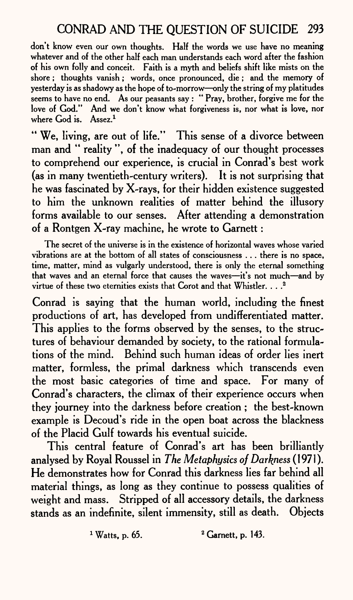don't know even our own thoughts. Half the words we use have no meaning whatever and of the other half each man understands each word after the fashion of his own folly and conceit. Faith is a myth and beliefs shift like mists on the shore ; thoughts vanish ; words, once pronounced, die ; and the memory of yesterday is as shadowy as the hope of to-morrow—only the string of my platitudes seems to have no end. As our peasants say : " Pray, brother, forgive me for the love of God." And we don't know what forgiveness is, nor what is love, nor where God is. Assez.<sup>1</sup>

'\* We, living, are out of life." This sense of a divorce between man and '\* reality ", of the inadequacy of our thought processes to comprehend our experience, is crucial in Conrad's best work (as in many twentieth-century writers). It is not surprising that he was fascinated by X-rays, for their hidden existence suggested to him the unknown realities of matter behind the illusory forms available to our senses. After attending a demonstration of a Rontgen X-ray machine, he wrote to Garnett:

The secret of the universe is in the existence of horizontal waves whose varied vibrations are at the bottom of all states of consciousness . . . there is no space, time, matter, mind as vulgarly understood, there is only the eternal something that waves and an eternal force that causes the waves-it's not much-and by virtue of these two eternities exists that Corot and that Whistler. . . .<sup>2</sup>

Conrad is saying that the human world, including the finest productions of art, has developed from undifferentiated matter. This applies to the forms observed by the senses, to the structures of behaviour demanded by society, to the rational formulations of the mind. Behind such human ideas of order lies inert matter, formless, the primal darkness which transcends even the most basic categories of time and space. For many of Conrad's characters, the climax of their experience occurs when they journey into the darkness before creation ; the best-known example is Decoud's ride in the open boat across the blackness of the Placid Gulf towards his eventual suicide.

This central feature of Conrad's art has been brilliantly analysed by Royal Roussel in *The Metaphysics of Darkness* (1971). He demonstrates how for Conrad this darkness lies far behind all material things, as long as they continue to possess qualities of weight and mass. Stripped of all accessory details, the darkness stands as an indefinite, silent immensity, still as death. Objects

<sup>1</sup> Watts, p.  $65.$ <sup>2</sup> Garnett, p. 143.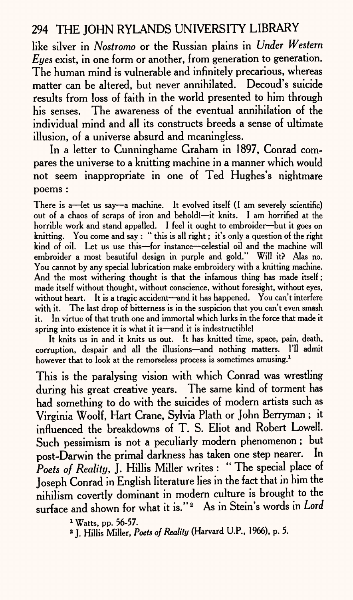like silver in *Nostromo* or the Russian plains in *Under Western Eyes* exist, in one form or another, from generation to generation. The human mind is vulnerable and infinitely precarious, whereas matter can be altered, but never annihilated. Decoud's suicide results from loss of faith in the world presented to him through his senses. The awareness of the eventual annihilation of the individual mind and all its constructs breeds a sense of ultimate illusion, of a universe absurd and meaningless.

In a letter to Cunninghame Graham in 1897, Conrad compares the universe to a knitting machine in a manner which would not seem inappropriate in one of Ted Hughes's nightmare poems :

There is a—let us say—a machine. It evolved itself  $(I \text{ am severely scientific})$ out of a chaos of scraps of iron and behold!-it knits. I am horrified at the horrible work and stand appalled. I feel it ought to embroider—but it goes on knitting. You come and say: "this is all right; it's only a question of the right kind of oil. Let us use this—for instance—celestial oil and the machine will embroider a most beautiful design in purple and gold." Will it? Alas no. You cannot by any special lubrication make embroidery with a knitting machine. And the most withering thought is that the infamous thing has made itself; made itself without thought, without conscience, without foresight, without eyes, without heart. It is a tragic accident—and it has happened. You can't interfere with it. The last drop of bitterness is in the suspicion that you can't even smash In virtue of that truth one and immortal which lurks in the force that made it spring into existence it is what it is—and it is indestructible!

It knits us in and it knits us out. It has knitted time, space, pain, death, corruption, despair and all the illusions—and nothing matters. I'll admit however that to look at the remorseless process is sometimes amusing.<sup>1</sup>

This is the paralysing vision with which Conrad was wrestling during his great creative years. The same kind of torment has had something to do with the suicides of modern artists such as Virginia Woolf, Hart Crane, Sylvia Plath or John Berryman ; it influenced the breakdowns of T. S. Eliot and Robert Lowell. Such pessimism is not a peculiarly modern phenomenon; but post-Darwin the primal darkness has taken one step nearer. In *Poets of Reality,* J. Hillis Miller writes : " The special place of Joseph Conrad in English literature lies in the fact that in him the nihilism covertly dominant in modern culture is brought to the surface and shown for what it is."<sup>2</sup> As in Stein's words in Lord

1 Watts, pp. 56-57.

2 J. Hillis Miller, *Poets of Reality* (Harvard U.P., 1966), p. 5.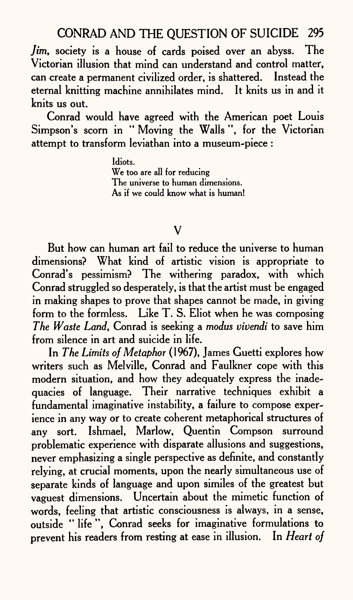*Jim,* society is a house of cards poised over an abyss. The Victorian illusion that mind can understand and control matter, can create a permanent civilized order, is shattered. Instead the eternal knitting machine annihilates mind. It knits us in and it knits us out.

Conrad would have agreed with the American poet Louis Simpson's scorn in " Moving the Walls ", for the Victorian attempt to transform leviathan into a museum-piece :

> Idiots. We too are all for reducing The universe to human dimensions. As if we could know what is human!

> > V

But how can human art fail to reduce the universe to human dimensions? What kind of artistic vision is appropriate to Conrad's pessimism? The withering paradox, with which Conrad struggled so desperately, is that the artist must be engaged in making shapes to prove that shapes cannot be made, in giving form to the formless. Like T. S. Eliot when he was composing *The Waste Land,* Conrad is seeking a *modus vivendi* to save him from silence in art and suicide in life.

In *The Limits of Metaphor* (1967), James Guetti explores how writers such as Melville, Conrad and Faulkner cope with this modern situation, and how they adequately express the inadequacies of language. Their narrative techniques exhibit <sup>a</sup> fundamental imaginative instability, a failure to compose experience in any way or to create coherent metaphorical structures of any sort. Ishmael, Marlow, Quentin Compson surround problematic experience with disparate allusions and suggestions, never emphasizing a single perspective as definite, and constantly relying, at crucial moments, upon the nearly simultaneous use of separate kinds of language and upon similes of the greatest but vaguest dimensions. Uncertain about the mimetic function of words, feeling that artistic consciousness is always, in a sense, outside " life ", Conrad seeks for imaginative formulations to prevent his readers from resting at ease in illusion. In *Heart of*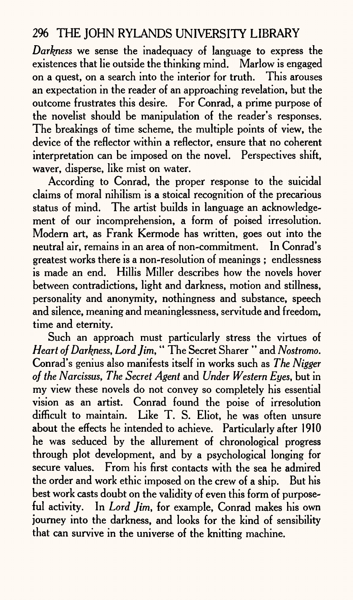*Darkness* we sense the inadequacy of language to express the existences that lie outside the thinking mind. Marlow is engaged on <sup>a</sup>quest, on a search into the interior for truth. This arouses an expectation in the reader of an approaching revelation, but the outcome frustrates this desire. For Conrad, a prime purpose of the novelist should be manipulation of the reader's responses. The breakings of time scheme, the multiple points of view, the device of the reflector within a reflector, ensure that no coherent interpretation can be imposed on the novel. Perspectives shift, waver, disperse, like mist on water.

According to Conrad, the proper response to the suicidal claims of moral nihilism is a stoical recognition of the precarious status of mind. The artist builds in language an acknowledgement of our incomprehension, a form of poised irresolution. Modern art, as Frank Kermode has written, goes out into the neutral air, remains in an area of non-commitment. In Conrad's greatest works there is a non-resolution of meanings ; endlessness is made an end. Hillis Miller describes how the novels hover between contradictions, light and darkness, motion and stillness, personality and anonymity, nothingness and substance, speech and silence, meaning and meaninglessness, servitude and freedom, time and eternity.

Such an approach must particularly stress the virtues of *Heart of Darkness, Lord Jim,* " The Secret Sharer " and *Nostromo.*  Conrad's genius also manifests itself in works such as *The Nigger of the Narcissus, The Secret Agent* and *Under Western Eyes,* but in my view these novels do not convey so completely his essential vision as an artist. Conrad found the poise of irresolution difficult to maintain. Like T. S. Eliot, he was often unsure about the effects he intended to achieve. Particularly after 1910 he was seduced by the allurement of chronological progress through plot development, and by a psychological longing for secure values. From his first contacts with the sea he admired the order and work ethic imposed on the crew of a ship. But his best work casts doubt on the validity of even this form of purposeful activity. In *Lord Jim,* for example, Conrad makes his own journey into the darkness, and looks for the kind of sensibility that can survive in the universe of the knitting machine.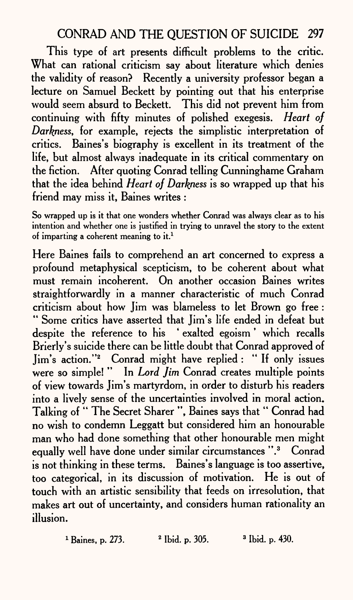This type of art presents difficult problems to the critic. What can rational criticism say about literature which denies the validity of reason? Recently a university professor began <sup>a</sup> lecture on Samuel Beckett by pointing out that his enterprise would seem absurd to Beckett. This did not prevent him from continuing with fifty minutes of polished exegesis. *Heart of Darkness,* for example, rejects the simplistic interpretation of critics. Baines's biography is excellent in its treatment of the life, but almost always inadequate in its critical commentary on the fiction. After quoting Conrad telling Cunninghame Graham that the idea behind *Heart of Darkness* is so wrapped up that his friend may miss it, Baines writes :

So wrapped up is it that one wonders whether Conrad was always clear as to his intention and whether one is justified in trying to unravel the story to the extent of imparting a coherent meaning to it.<sup>1</sup>

Here Baines fails to comprehend an art concerned to express <sup>a</sup> profound metaphysical scepticism, to be coherent about what must remain incoherent. On another occasion Baines writes straightforwardly in a manner characteristic of much Conrad criticism about how Jim was blameless to let Brown go free : " Some critics have asserted that Jim's life ended in defeat but despite the reference to his ' exalted egoism ' which recalls Brierly's suicide there can be little doubt that Conrad approved of Jim's action."2 Conrad might have replied : "If only issues were so simple! " In *Lord Jim* Conrad creates multiple points of view towards Jim's martyrdom, in order to disturb his readers into a lively sense of the uncertainties involved in moral action. Talking of " The Secret Sharer ", Baines says that " Conrad had no wish to condemn Leggatt but considered him an honourable man who had done something that other honourable men might equally well have done under similar circumstances ".3 Conrad is not thinking in these terms. Baines's language is too assertive, too categorical, in its discussion of motivation. He is out of touch with an artistic sensibility that feeds on irresolution, that makes art out of uncertainty, and considers human rationality an illusion.

<sup>1</sup> Baines, p. 273. <sup>2</sup> Ibid. p. 305. <sup>3</sup> Ibid. p. 430.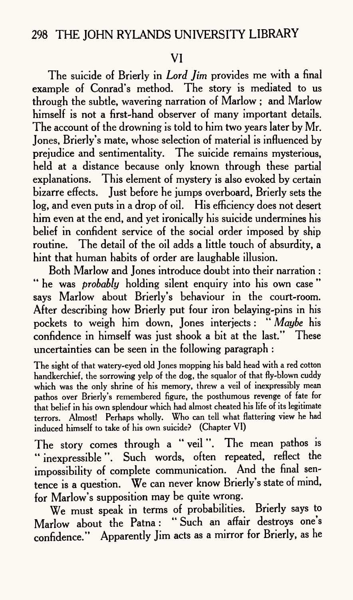#### VI

The suicide of Briefly in *Lord Jim* provides me with a final example of Conrad's method. The story is mediated to us through the subtle, wavering narration of Marlow ; and Marlow himself is not a first-hand observer of many important details. The account of the drowning is told to him two years later by Mr. Jones, Brierly's mate, whose selection of material is influenced by prejudice and sentimentality. The suicide remains mysterious. held at a distance because only known through these partial explanations. This element of mystery is also evoked by certain bizarre effects. Just before he jumps overboard, Brierly sets the log, and even puts in a drop of oil. His efficiency does not desert him even at the end, and yet ironically his suicide undermines his belief in confident service of the social order imposed by ship routine. The detail of the oil adds a little touch of absurdity, <sup>a</sup> hint that human habits of order are laughable illusion.

Both Marlow and Jones introduce doubt into their narration : " he was *probably* holding silent enquiry into his own case " says Marlow about Brierly's behaviour in the court-room. After describing how Brierly put four iron belaying-pins in his pockets to weigh him down, Jones interjects : " *Maybe* his confidence in himself was just shook a bit at the last." These uncertainties can be seen in the following paragraph :

The sight of that watery-eyed old Jones mopping his bald head with a red cotton handkerchief, the sorrowing yelp of the dog, the squalor of that fly-blown cuddy which was the only shrine of his memory, threw a veil of inexpressibly mean pathos over Brierly's remembered figure, the posthumous revenge of fate for that belief in his own splendour which had almost cheated his life of its legitimate terrors. Almost! Perhaps wholly. Who can tell what flattering view he had induced himself to take of his own suicide? (Chapter VI)

The story comes through a " veil". The mean pathos is " inexpressible". Such words, often repeated, reflect the impossibility of complete communication. And the final sentence is a question. We can never know Brierly's state of mind, for Marlow's supposition may be quite wrong.

We must speak in terms of probabilities. Brierly says to Marlow about the Patna: " Such an affair destroys one's confidence." Apparently Jim acts as a mirror for Brierly, as he